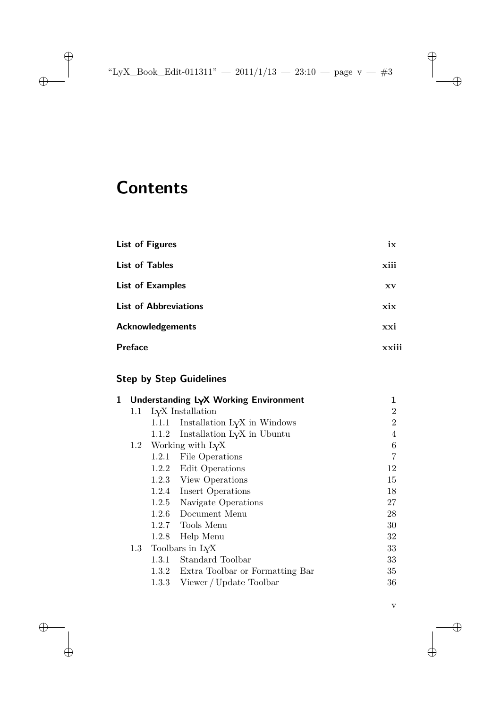## **Contents**

 $\oplus$ 

 $\bigoplus$ 

 $\oplus$ 

 $\oplus$ 

| <b>List of Figures</b>       | ix    |
|------------------------------|-------|
| <b>List of Tables</b>        | xiii  |
| <b>List of Examples</b>      | XV    |
| <b>List of Abbreviations</b> | xix   |
| <b>Acknowledgements</b>      | xxi   |
| <b>Preface</b>               | xxiii |

## **Step by Step Guidelines**

| Understanding LyX Working Environment |           |                                          | 1                                                                                                                                                                                                                                                                                       |
|---------------------------------------|-----------|------------------------------------------|-----------------------------------------------------------------------------------------------------------------------------------------------------------------------------------------------------------------------------------------------------------------------------------------|
| 1.1                                   |           |                                          | 2                                                                                                                                                                                                                                                                                       |
|                                       | 1.1.1     | Installation L <sub>Y</sub> X in Windows | $\overline{2}$                                                                                                                                                                                                                                                                          |
|                                       | 1.1.2     | Installation L <sub>Y</sub> X in Ubuntu  | 4                                                                                                                                                                                                                                                                                       |
|                                       |           |                                          | 6                                                                                                                                                                                                                                                                                       |
|                                       |           | File Operations                          | 7                                                                                                                                                                                                                                                                                       |
|                                       |           |                                          | 12                                                                                                                                                                                                                                                                                      |
|                                       |           |                                          | 15                                                                                                                                                                                                                                                                                      |
|                                       |           |                                          | 18                                                                                                                                                                                                                                                                                      |
|                                       |           | Navigate Operations                      | 27                                                                                                                                                                                                                                                                                      |
|                                       |           |                                          | 28                                                                                                                                                                                                                                                                                      |
|                                       |           |                                          | 30                                                                                                                                                                                                                                                                                      |
|                                       |           |                                          | 32                                                                                                                                                                                                                                                                                      |
| 1.3<br>Toolbars in LyX                |           | 33                                       |                                                                                                                                                                                                                                                                                         |
|                                       |           |                                          | 33                                                                                                                                                                                                                                                                                      |
|                                       |           |                                          | 35                                                                                                                                                                                                                                                                                      |
|                                       | $1.3.3\,$ | Viewer / Update Toolbar                  | 36                                                                                                                                                                                                                                                                                      |
|                                       |           |                                          | L <sub>Y</sub> X Installation<br>1.2 Working with $LyX$<br>1.2.1<br>1.2.2 Edit Operations<br>1.2.3 View Operations<br>1.2.4 Insert Operations<br>1.2.5<br>1.2.6 Document Menu<br>1.2.7 Tools Menu<br>1.2.8 Help Menu<br>1.3.1 Standard Toolbar<br>1.3.2 Extra Toolbar or Formatting Bar |

v

 $\bigoplus$ 

 $\oplus$ 

 $\oplus$ 

 $\oplus$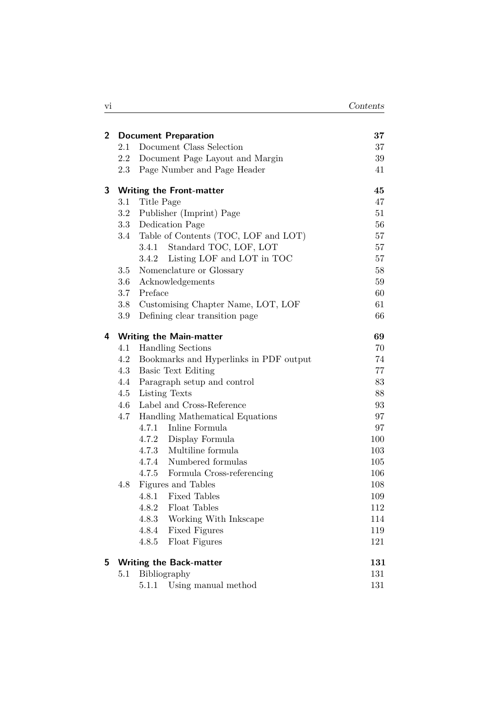| $2^{\circ}$    |                                 |                                      | <b>Document Preparation</b>              | $37\,$ |  |
|----------------|---------------------------------|--------------------------------------|------------------------------------------|--------|--|
|                | 2.1                             |                                      | Document Class Selection                 | 37     |  |
|                |                                 |                                      | 2.2 Document Page Layout and Margin      | 39     |  |
|                |                                 |                                      | 2.3 Page Number and Page Header          | 41     |  |
| 3 <sup>7</sup> | <b>Writing the Front-matter</b> |                                      |                                          | 45     |  |
|                | 3.1                             | Title Page                           |                                          | 47     |  |
|                |                                 |                                      | 3.2 Publisher (Imprint) Page             | 51     |  |
|                |                                 |                                      | 3.3 Dedication Page                      | 56     |  |
|                |                                 |                                      | 3.4 Table of Contents (TOC, LOF and LOT) | 57     |  |
|                |                                 | 3.4.1                                | Standard TOC, LOF, LOT                   | 57     |  |
|                |                                 | 3.4.2                                | Listing LOF and LOT in TOC               | 57     |  |
|                | 3.5                             |                                      | Nomenclature or Glossary                 | 58     |  |
|                | 3.6                             |                                      | Acknowledgements                         | 59     |  |
|                | 3.7                             | Preface                              |                                          | 60     |  |
|                | 3.8                             |                                      | Customising Chapter Name, LOT, LOF       | 61     |  |
|                | 3.9                             | 66<br>Defining clear transition page |                                          |        |  |
| 4              |                                 |                                      | <b>Writing the Main-matter</b>           | 69     |  |
|                | 4.1                             |                                      | <b>Handling Sections</b>                 | 70     |  |
|                | 4.2                             |                                      | Bookmarks and Hyperlinks in PDF output   | 74     |  |
|                | 4.3                             |                                      | <b>Basic Text Editing</b>                | 77     |  |
|                | 4.4                             |                                      | Paragraph setup and control              | 83     |  |
|                | 4.5                             | Listing Texts                        | 88                                       |        |  |
|                | 4.6                             | Label and Cross-Reference            | 93                                       |        |  |
|                | 4.7                             | Handling Mathematical Equations      | 97                                       |        |  |
|                |                                 |                                      | 4.7.1 Inline Formula                     | 97     |  |
|                |                                 |                                      | 4.7.2 Display Formula                    | 100    |  |
|                |                                 |                                      | 4.7.3 Multiline formula                  | 103    |  |
|                |                                 |                                      | 4.7.4 Numbered formulas                  | 105    |  |
|                |                                 |                                      | 4.7.5 Formula Cross-referencing          | 106    |  |
|                | 4.8                             |                                      | Figures and Tables                       | 108    |  |
|                |                                 | 4.8.1                                | <b>Fixed Tables</b>                      | 109    |  |
|                |                                 |                                      | 4.8.2 Float Tables                       | 112    |  |
|                |                                 | 4.8.3                                | Working With Inkscape                    | 114    |  |
|                |                                 | 4.8.4                                | <b>Fixed Figures</b>                     | 119    |  |
|                |                                 | 4.8.5                                | Float Figures                            | 121    |  |
| 5              | <b>Writing the Back-matter</b>  |                                      |                                          | 131    |  |
|                | 5.1                             | Bibliography                         |                                          | 131    |  |
|                |                                 |                                      | 5.1.1 Using manual method                | 131    |  |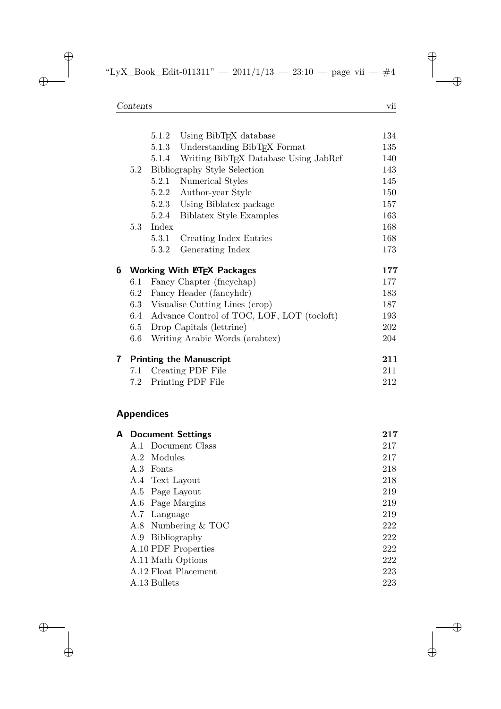$\oplus$ 

 $\bigoplus$ 

 $\oplus$ 

 $\oplus$ 

|   |                                    | 5.1.2             | Using BibT <sub>F</sub> X database                | 134 |
|---|------------------------------------|-------------------|---------------------------------------------------|-----|
|   |                                    | 5.1.3             | Understanding BibT <sub>E</sub> X Format          | 135 |
|   |                                    | 5.1.4             | Writing BibT <sub>F</sub> X Database Using JabRef | 140 |
|   |                                    |                   | 5.2 Bibliography Style Selection                  | 143 |
|   |                                    | 5.2.1             | Numerical Styles                                  | 145 |
|   |                                    |                   | 5.2.2 Author-year Style                           | 150 |
|   |                                    |                   | 5.2.3 Using Biblatex package                      | 157 |
|   |                                    | 5.2.4             | <b>Biblatex Style Examples</b>                    | 163 |
|   | 5.3                                | Index             |                                                   | 168 |
|   |                                    | 5.3.1             | Creating Index Entries                            | 168 |
|   |                                    | 5.3.2             | Generating Index                                  | 173 |
| 6 | <b>Working With LATEX Packages</b> |                   |                                                   | 177 |
|   | 6.1                                |                   | Fancy Chapter (fncychap)                          | 177 |
|   | $6.2\,$                            |                   | Fancy Header (fancyhdr)                           | 183 |
|   |                                    |                   | 6.3 Visualise Cutting Lines (crop)                | 187 |
|   | 6.4                                |                   | Advance Control of TOC, LOF, LOT (tocloft)        | 193 |
|   | $6.5\,$                            |                   | Drop Capitals (lettrine)                          | 202 |
|   | $6.6\,$                            |                   | Writing Arabic Words (arabtex)                    | 204 |
|   |                                    |                   | <b>7</b> Printing the Manuscript                  | 211 |
|   | 7.1                                |                   | Creating PDF File                                 | 211 |
|   | 7.2                                |                   | Printing PDF File                                 | 212 |
|   |                                    |                   |                                                   |     |
|   |                                    | <b>Appendices</b> |                                                   |     |

| <b>Document Settings</b><br>A |     |  |
|-------------------------------|-----|--|
| A.1 Document Class            | 217 |  |
| A.2 Modules                   | 217 |  |
| A.3 Fonts                     | 218 |  |
| A.4 Text Layout               | 218 |  |
| A.5 Page Layout               | 219 |  |
| A.6 Page Margins              | 219 |  |
| A.7 Language                  | 219 |  |
| A.8 Numbering & TOC           | 222 |  |
| A.9 Bibliography              | 222 |  |
| A.10 PDF Properties           | 222 |  |
| A.11 Math Options             | 222 |  |
| A.12 Float Placement          | 223 |  |
| A.13 Bullets                  | 223 |  |

 $\bigoplus$ 

 $\bigoplus$